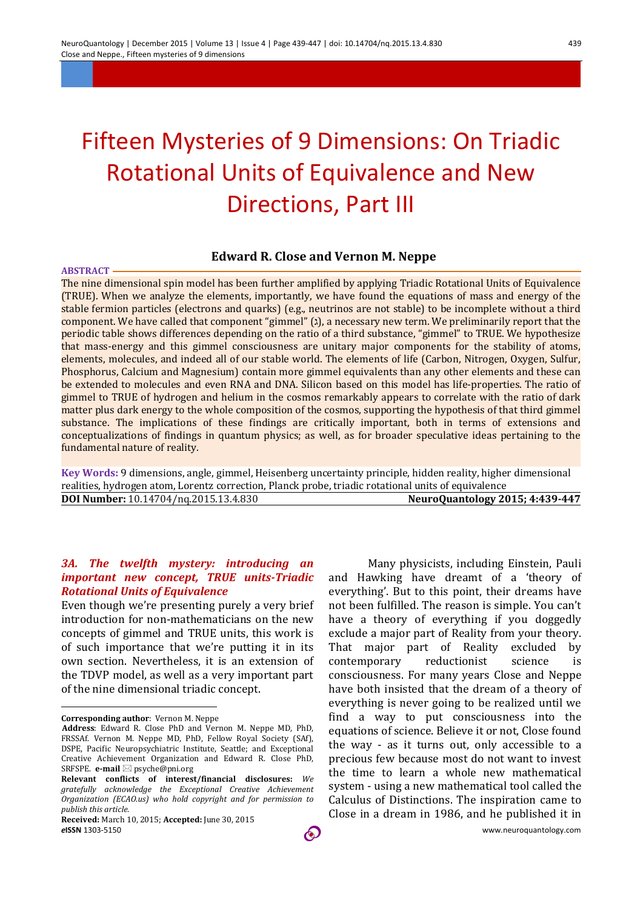# Fifteen Mysteries of 9 Dimensions: On Triadic Rotational Units of Equivalence and New Directions, Part III

#### **Edward R. Close and Vernon M. Neppe**

#### **ABSTRACT**

The nine dimensional spin model has been further amplified by applying Triadic Rotational Units of Equivalence (TRUE). When we analyze the elements, importantly, we have found the equations of mass and energy of the stable fermion particles (electrons and quarks) (e.g., neutrinos are not stable) to be incomplete without a third component. We have called that component "gimmel" (1), a necessary new term. We preliminarily report that the periodic table shows differences depending on the ratio of a third substance, "gimmel" to TRUE. We hypothesize that mass-energy and this gimmel consciousness are unitary major components for the stability of atoms, elements, molecules, and indeed all of our stable world. The elements of life (Carbon, Nitrogen, Oxygen, Sulfur, Phosphorus, Calcium and Magnesium) contain more gimmel equivalents than any other elements and these can be extended to molecules and even RNA and DNA. Silicon based on this model has life-properties. The ratio of gimmel to TRUE of hydrogen and helium in the cosmos remarkably appears to correlate with the ratio of dark matter plus dark energy to the whole composition of the cosmos, supporting the hypothesis of that third gimmel substance. The implications of these findings are critically important, both in terms of extensions and conceptualizations of findings in quantum physics; as well, as for broader speculative ideas pertaining to the fundamental nature of reality.

**Key Words:** 9 dimensions, angle, gimmel, Heisenberg uncertainty principle, hidden reality, higher dimensional realities, hydrogen atom, Lorentz correction, Planck probe, triadic rotational units of equivalence **DOI Number:** 10.14704/nq.2015.13.4.830 **NeuroQuantology 2015; 4:439-447**

### *3A. The twelfth mystery: introducing an important new concept, TRUE units-Triadic*  **Rotational Units of Equivalence**

Even though we're presenting purely a very brief introduction for non-mathematicians on the new concepts of gimmel and TRUE units, this work is of such importance that we're putting it in its own section. Nevertheless, it is an extension of the TDVP model, as well as a very important part of the nine dimensional triadic concept.

 $\overline{a}$ 

Many physicists, including Einstein, Pauli and Hawking have dreamt of a 'theory of everything'. But to this point, their dreams have not been fulfilled. The reason is simple. You can't have a theory of everything if you doggedly exclude a major part of Reality from your theory. That major part of Reality excluded by contemporary reductionist science is consciousness. For many years Close and Neppe have both insisted that the dream of a theory of everything is never going to be realized until we find a way to put consciousness into the equations of science. Believe it or not, Close found the way - as it turns out, only accessible to a precious few because most do not want to invest the time to learn a whole new mathematical system - using a new mathematical tool called the Calculus of Distinctions. The inspiration came to Close in a dream in 1986, and he published it in

**Corresponding author**: Vernon M. Neppe

**Address**: Edward R. Close PhD and Vernon M. Neppe MD, PhD, FRSSAf. Vernon M. Neppe MD, PhD, Fellow Royal Society (SAf), DSPE, Pacific Neuropsychiatric Institute, Seattle; and Exceptional Creative Achievement Organization and Edward R. Close PhD, SRFSPE. **e-mail** ⊠ psyche@pni.org

**Relevant conflicts of interest/financial disclosures:** *We gratefully acknowledge the Exceptional Creative Achievement Organization (ECAO.us) who hold copyright and for permission to publish this article.*

*e***ISSN** 1303-5150 www.neuroquantology.com **Received:** March 10, 2015; **Accepted:** June 30, 2015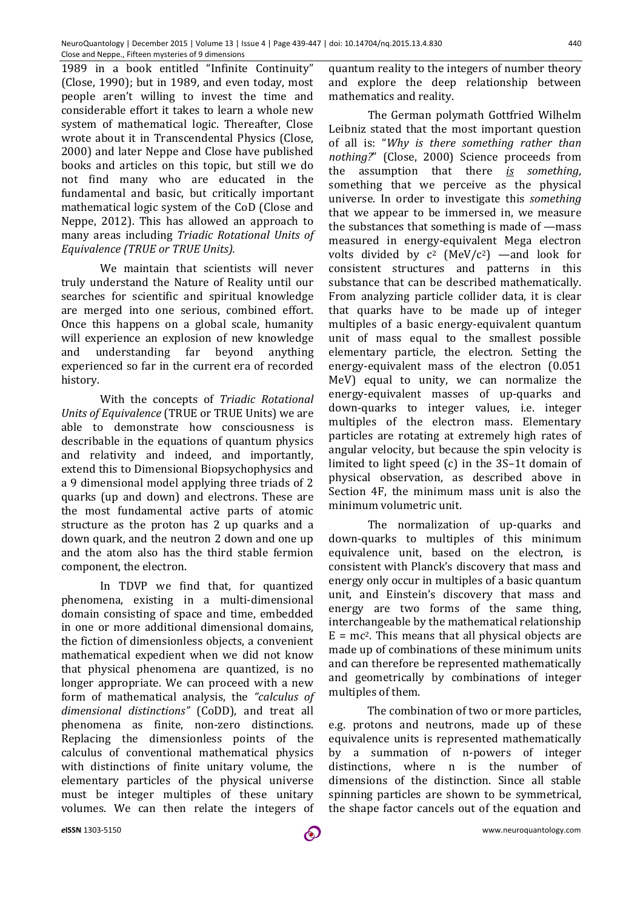1989 in a book entitled "Infinite Continuity" (Close, 1990); but in 1989, and even today, most people aren't willing to invest the time and considerable effort it takes to learn a whole new system of mathematical logic. Thereafter, Close wrote about it in Transcendental Physics (Close, 2000) and later Neppe and Close have published books and articles on this topic, but still we do not find many who are educated in the fundamental and basic, but critically important mathematical logic system of the CoD (Close and Neppe, 2012). This has allowed an approach to many areas including *Triadic Rotational Units of Equivalence (TRUE or TRUE Units).*

We maintain that scientists will never truly understand the Nature of Reality until our searches for scientific and spiritual knowledge are merged into one serious, combined effort. Once this happens on a global scale, humanity will experience an explosion of new knowledge and understanding far beyond anything experienced so far in the current era of recorded history.

With the concepts of *Triadic Rotational Units of Equivalence* (TRUE or TRUE Units) we are able to demonstrate how consciousness is describable in the equations of quantum physics and relativity and indeed, and importantly, extend this to Dimensional Biopsychophysics and a 9 dimensional model applying three triads of 2 quarks (up and down) and electrons. These are the most fundamental active parts of atomic structure as the proton has 2 up quarks and a down quark, and the neutron 2 down and one up and the atom also has the third stable fermion component, the electron.

In TDVP we find that, for quantized phenomena, existing in a multi-dimensional domain consisting of space and time, embedded in one or more additional dimensional domains, the fiction of dimensionless objects, a convenient mathematical expedient when we did not know that physical phenomena are quantized, is no longer appropriate. We can proceed with a new form of mathematical analysis, the *"calculus of dimensional distinctions"* (CoDD), and treat all phenomena as finite, non-zero distinctions. Replacing the dimensionless points of the calculus of conventional mathematical physics with distinctions of finite unitary volume, the elementary particles of the physical universe must be integer multiples of these unitary volumes. We can then relate the integers of

quantum reality to the integers of number theory and explore the deep relationship between mathematics and reality.

The German polymath Gottfried Wilhelm Leibniz stated that the most important question of all is: "*Why is there something rather than nothing?*" (Close, 2000) Science proceeds from the assumption that there *is something*, something that we perceive as the physical universe. In order to investigate this *something* that we appear to be immersed in, we measure the substances that something is made of —mass measured in energy-equivalent Mega electron volts divided by  $c^2$  (MeV/ $c^2$ ) —and look for consistent structures and patterns in this substance that can be described mathematically. From analyzing particle collider data, it is clear that quarks have to be made up of integer multiples of a basic energy-equivalent quantum unit of mass equal to the smallest possible elementary particle, the electron. Setting the energy-equivalent mass of the electron (0.051 MeV) equal to unity, we can normalize the energy-equivalent masses of up-quarks and down-quarks to integer values, i.e. integer multiples of the electron mass. Elementary particles are rotating at extremely high rates of angular velocity, but because the spin velocity is limited to light speed (c) in the 3S–1t domain of physical observation, as described above in Section 4F, the minimum mass unit is also the minimum volumetric unit.

The normalization of up-quarks and down-quarks to multiples of this minimum equivalence unit, based on the electron, is consistent with Planck's discovery that mass and energy only occur in multiples of a basic quantum unit, and Einstein's discovery that mass and energy are two forms of the same thing, interchangeable by the mathematical relationship  $E = mc<sup>2</sup>$ . This means that all physical objects are made up of combinations of these minimum units and can therefore be represented mathematically and geometrically by combinations of integer multiples of them.

The combination of two or more particles, e.g. protons and neutrons, made up of these equivalence units is represented mathematically by a summation of n-powers of integer distinctions, where n is the number of dimensions of the distinction. Since all stable spinning particles are shown to be symmetrical, the shape factor cancels out of the equation and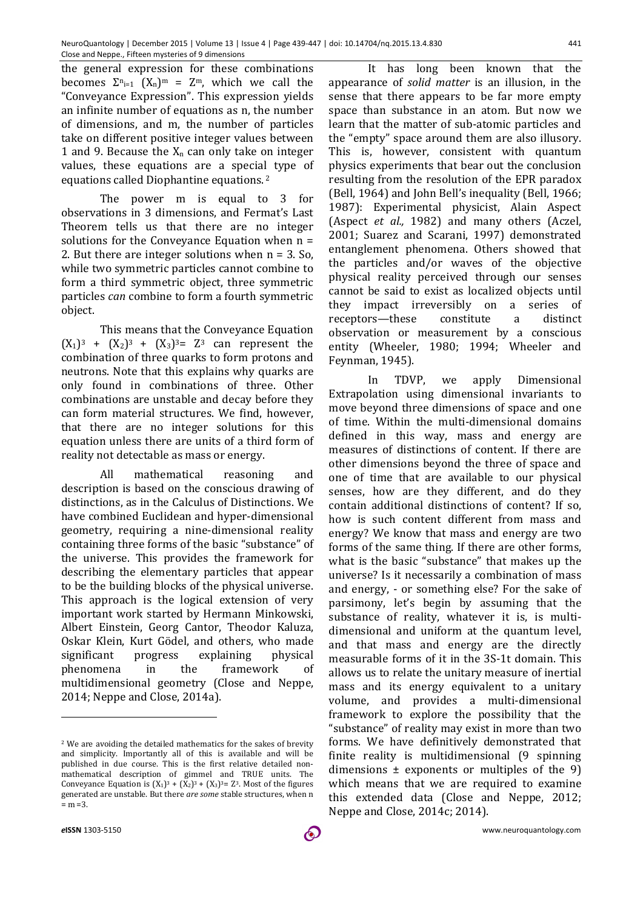the general expression for these combinations becomes  $\Sigma_{n=1}$   $(X_n)^m = Z^m$ , which we call the "Conveyance Expression". This expression yields an infinite number of equations as n, the number of dimensions, and m, the number of particles take on different positive integer values between 1 and 9. Because the  $X_n$  can only take on integer values, these equations are a special type of equations called Diophantine equations. <sup>2</sup>

The power m is equal to 3 for observations in 3 dimensions, and Fermat's Last Theorem tells us that there are no integer solutions for the Conveyance Equation when n = 2. But there are integer solutions when  $n = 3$ . So, while two symmetric particles cannot combine to form a third symmetric object, three symmetric particles *can* combine to form a fourth symmetric object.

This means that the Conveyance Equation  $(X_1)^3$  +  $(X_2)^3$  +  $(X_3)^3$  =  $Z^3$  can represent the combination of three quarks to form protons and neutrons. Note that this explains why quarks are only found in combinations of three. Other combinations are unstable and decay before they can form material structures. We find, however, that there are no integer solutions for this equation unless there are units of a third form of reality not detectable as mass or energy.

All mathematical reasoning and description is based on the conscious drawing of distinctions, as in the Calculus of Distinctions. We have combined Euclidean and hyper-dimensional geometry, requiring a nine-dimensional reality containing three forms of the basic "substance" of the universe. This provides the framework for describing the elementary particles that appear to be the building blocks of the physical universe. This approach is the logical extension of very important work started by Hermann Minkowski, Albert Einstein, Georg Cantor, Theodor Kaluza, Oskar Klein, Kurt Gödel, and others, who made significant progress explaining physical phenomena in the framework of multidimensional geometry (Close and Neppe, 2014; Neppe and Close, 2014a).

It has long been known that the appearance of *solid matter* is an illusion, in the sense that there appears to be far more empty space than substance in an atom. But now we learn that the matter of sub-atomic particles and the "empty" space around them are also illusory. This is, however, consistent with quantum physics experiments that bear out the conclusion resulting from the resolution of the EPR paradox (Bell, 1964) and John Bell's inequality (Bell, 1966; 1987): Experimental physicist, Alain Aspect (Aspect *et al.,* 1982) and many others (Aczel, 2001; Suarez and Scarani, 1997) demonstrated entanglement phenomena. Others showed that the particles and/or waves of the objective physical reality perceived through our senses cannot be said to exist as localized objects until they impact irreversibly on a series of receptors—these constitute a distinct observation or measurement by a conscious entity (Wheeler, 1980; 1994; Wheeler and Feynman, 1945).

In TDVP, we apply Dimensional Extrapolation using dimensional invariants to move beyond three dimensions of space and one of time. Within the multi-dimensional domains defined in this way, mass and energy are measures of distinctions of content. If there are other dimensions beyond the three of space and one of time that are available to our physical senses, how are they different, and do they contain additional distinctions of content? If so, how is such content different from mass and energy? We know that mass and energy are two forms of the same thing. If there are other forms, what is the basic "substance" that makes up the universe? Is it necessarily a combination of mass and energy, - or something else? For the sake of parsimony, let's begin by assuming that the substance of reality, whatever it is, is multidimensional and uniform at the quantum level, and that mass and energy are the directly measurable forms of it in the 3S-1t domain. This allows us to relate the unitary measure of inertial mass and its energy equivalent to a unitary volume, and provides a multi-dimensional framework to explore the possibility that the "substance" of reality may exist in more than two forms. We have definitively demonstrated that finite reality is multidimensional (9 spinning dimensions  $\pm$  exponents or multiples of the 9) which means that we are required to examine this extended data (Close and Neppe, 2012; Neppe and Close, 2014c; 2014).

 $\overline{a}$ 

<sup>2</sup> We are avoiding the detailed mathematics for the sakes of brevity and simplicity. Importantly all of this is available and will be published in due course. This is the first relative detailed nonmathematical description of gimmel and TRUE units. The Conveyance Equation is  $(X_1)^3 + (X_2)^3 + (X_3)^3 = Z^3$ . Most of the figures generated are unstable. But there *are some* stable structures, when n  $= m = 3.$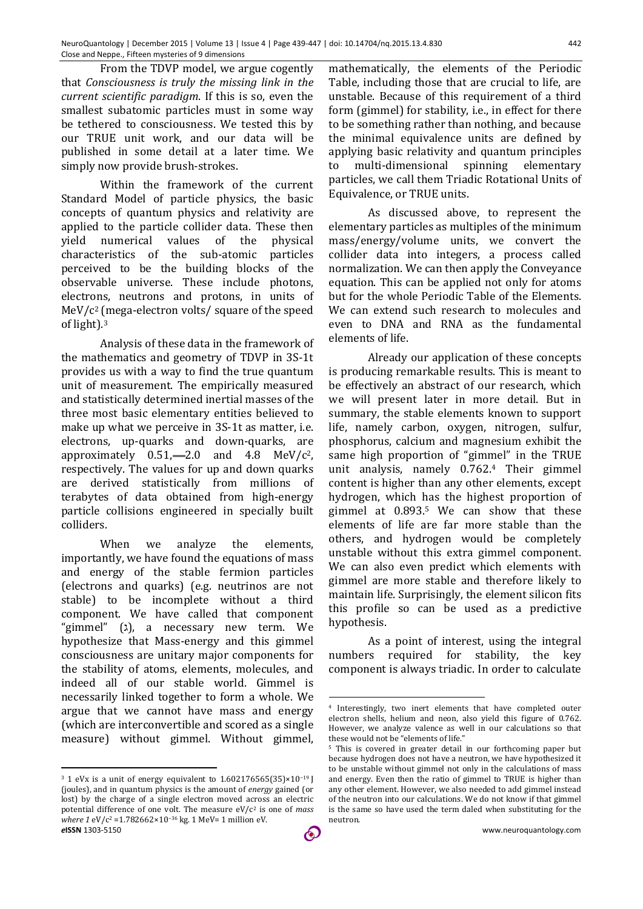From the TDVP model, we argue cogently that *Consciousness is truly the missing link in the current scientific paradigm*. If this is so, even the smallest subatomic particles must in some way be tethered to consciousness. We tested this by our TRUE unit work, and our data will be published in some detail at a later time. We simply now provide brush-strokes.

Within the framework of the current Standard Model of particle physics, the basic concepts of quantum physics and relativity are applied to the particle collider data. These then yield numerical values of the physical characteristics of the sub-atomic particles perceived to be the building blocks of the observable universe. These include photons, electrons, neutrons and protons, in units of MeV/c2 (mega-electron volts/ square of the speed of light).3

Analysis of these data in the framework of the mathematics and geometry of TDVP in 3S-1t provides us with a way to find the true quantum unit of measurement. The empirically measured and statistically determined inertial masses of the three most basic elementary entities believed to make up what we perceive in 3S-1t as matter, i.e. electrons, up-quarks and down-quarks, are approximately  $0.51$ , -2.0 and  $4.8$  MeV/ $c^2$ , respectively. The values for up and down quarks are derived statistically from millions of terabytes of data obtained from high-energy particle collisions engineered in specially built colliders.

When we analyze the elements, importantly, we have found the equations of mass and energy of the stable fermion particles (electrons and quarks) (e.g. neutrinos are not stable) to be incomplete without a third component. We have called that component "gimmel"  $(x)$ , a necessary new term. We hypothesize that Mass-energy and this gimmel consciousness are unitary major components for the stability of atoms, elements, molecules, and indeed all of our stable world. Gimmel is necessarily linked together to form a whole. We argue that we cannot have mass and energy (which are interconvertible and scored as a single measure) without gimmel. Without gimmel,

 $\overline{a}$ 

mathematically, the elements of the Periodic Table, including those that are crucial to life, are unstable. Because of this requirement of a third form (gimmel) for stability, i.e., in effect for there to be something rather than nothing, and because the minimal equivalence units are defined by applying basic relativity and quantum principles to multi-dimensional spinning elementary particles, we call them Triadic Rotational Units of Equivalence, or TRUE units.

As discussed above, to represent the elementary particles as multiples of the minimum mass/energy/volume units, we convert the collider data into integers, a process called normalization. We can then apply the Conveyance equation. This can be applied not only for atoms but for the whole Periodic Table of the Elements. We can extend such research to molecules and even to DNA and RNA as the fundamental elements of life.

Already our application of these concepts is producing remarkable results. This is meant to be effectively an abstract of our research, which we will present later in more detail. But in summary, the stable elements known to support life, namely carbon, oxygen, nitrogen, sulfur, phosphorus, calcium and magnesium exhibit the same high proportion of "gimmel" in the TRUE unit analysis, namely 0.762.4 Their gimmel content is higher than any other elements, except hydrogen, which has the highest proportion of gimmel at 0.893.5 We can show that these elements of life are far more stable than the others, and hydrogen would be completely unstable without this extra gimmel component. We can also even predict which elements with gimmel are more stable and therefore likely to maintain life. Surprisingly, the element silicon fits this profile so can be used as a predictive hypothesis.

As a point of interest, using the integral numbers required for stability, the key component is always triadic. In order to calculate

<u>.</u>

*e***ISSN** 1303-5150 www.neuroquantology.com <sup>3</sup> 1 eVx is a unit of energy equivalent to 1.602176565(35)×10−19 J (joules), and in quantum physics is the amount of *energy* gained (or lost) by the charge of a single electron moved across an electric potential difference of one volt. The measure eV/c2 is one of *mass where 1* eV/c<sup>2</sup> = 1.782662×10<sup>-36</sup> kg. 1 MeV= 1 million eV.

<sup>4</sup> Interestingly, two inert elements that have completed outer electron shells, helium and neon, also yield this figure of 0.762. However, we analyze valence as well in our calculations so that these would not be "elements of life."

<sup>5</sup> This is covered in greater detail in our forthcoming paper but because hydrogen does not have a neutron, we have hypothesized it to be unstable without gimmel not only in the calculations of mass and energy. Even then the ratio of gimmel to TRUE is higher than any other element. However, we also needed to add gimmel instead of the neutron into our calculations. We do not know if that gimmel is the same so have used the term daled when substituting for the neutron.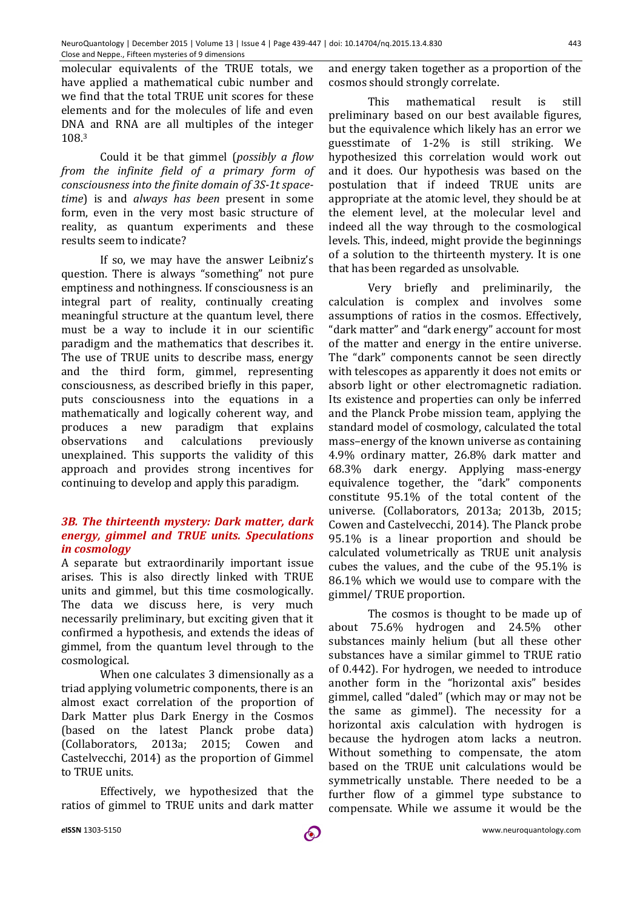molecular equivalents of the TRUE totals, we have applied a mathematical cubic number and we find that the total TRUE unit scores for these elements and for the molecules of life and even DNA and RNA are all multiples of the integer 108.3

Could it be that gimmel (*possibly a flow from the infinite field of a primary form of consciousness into the finite domain of 3S-1t spacetime*) is and *always has been* present in some form, even in the very most basic structure of reality, as quantum experiments and these results seem to indicate?

If so, we may have the answer Leibniz's question. There is always "something" not pure emptiness and nothingness. If consciousness is an integral part of reality, continually creating meaningful structure at the quantum level, there must be a way to include it in our scientific paradigm and the mathematics that describes it. The use of TRUE units to describe mass, energy and the third form, gimmel, representing consciousness, as described briefly in this paper, puts consciousness into the equations in a mathematically and logically coherent way, and produces a new paradigm that explains observations and calculations previously unexplained. This supports the validity of this approach and provides strong incentives for continuing to develop and apply this paradigm.

#### *3B. The thirteenth mystery: Dark matter, dark energy, gimmel and TRUE units. Speculations in cosmology*

A separate but extraordinarily important issue arises. This is also directly linked with TRUE units and gimmel, but this time cosmologically. The data we discuss here, is very much necessarily preliminary, but exciting given that it confirmed a hypothesis, and extends the ideas of gimmel, from the quantum level through to the cosmological.

When one calculates 3 dimensionally as a triad applying volumetric components, there is an almost exact correlation of the proportion of Dark Matter plus Dark Energy in the Cosmos (based on the latest Planck probe data) (Collaborators, 2013a; 2015; Cowen and Castelvecchi, 2014) as the proportion of Gimmel to TRUE units.

Effectively, we hypothesized that the ratios of gimmel to TRUE units and dark matter

and energy taken together as a proportion of the cosmos should strongly correlate.

This mathematical result is still preliminary based on our best available figures, but the equivalence which likely has an error we guesstimate of 1-2% is still striking. We hypothesized this correlation would work out and it does. Our hypothesis was based on the postulation that if indeed TRUE units are appropriate at the atomic level, they should be at the element level, at the molecular level and indeed all the way through to the cosmological levels. This, indeed, might provide the beginnings of a solution to the thirteenth mystery. It is one that has been regarded as unsolvable.

Very briefly and preliminarily, the calculation is complex and involves some assumptions of ratios in the cosmos. Effectively, "dark matter" and "dark energy" account for most of the matter and energy in the entire universe. The "dark" components cannot be seen directly with telescopes as apparently it does not emits or absorb light or other electromagnetic radiation. Its existence and properties can only be inferred and the Planck Probe mission team, applying the standard model of cosmology, calculated the total mass–energy of the known universe as containing 4.9% ordinary matter, 26.8% dark matter and 68.3% dark energy. Applying mass-energy equivalence together, the "dark" components constitute 95.1% of the total content of the universe. (Collaborators, 2013a; 2013b, 2015; Cowen and Castelvecchi, 2014). The Planck probe 95.1% is a linear proportion and should be calculated volumetrically as TRUE unit analysis cubes the values, and the cube of the 95.1% is 86.1% which we would use to compare with the gimmel/ TRUE proportion.

The cosmos is thought to be made up of about 75.6% hydrogen and 24.5% other substances mainly helium (but all these other substances have a similar gimmel to TRUE ratio of 0.442). For hydrogen, we needed to introduce another form in the "horizontal axis" besides gimmel, called "daled" (which may or may not be the same as gimmel). The necessity for a horizontal axis calculation with hydrogen is because the hydrogen atom lacks a neutron. Without something to compensate, the atom based on the TRUE unit calculations would be symmetrically unstable. There needed to be a further flow of a gimmel type substance to compensate. While we assume it would be the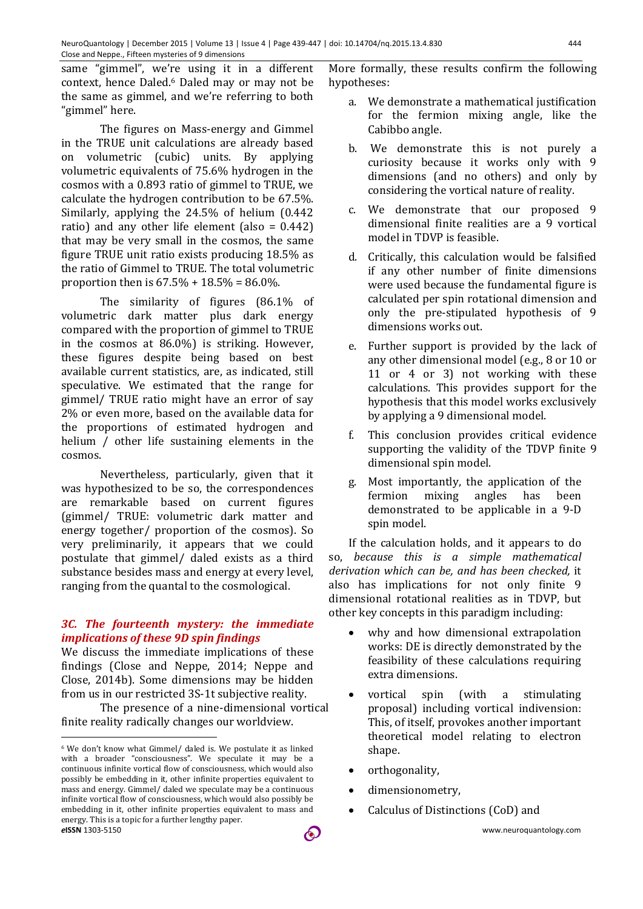same "gimmel", we're using it in a different context, hence Daled.6 Daled may or may not be the same as gimmel, and we're referring to both "gimmel" here.

The figures on Mass-energy and Gimmel in the TRUE unit calculations are already based on volumetric (cubic) units. By applying volumetric equivalents of 75.6% hydrogen in the cosmos with a 0.893 ratio of gimmel to TRUE, we calculate the hydrogen contribution to be 67.5%. Similarly, applying the 24.5% of helium (0.442 ratio) and any other life element (also = 0.442) that may be very small in the cosmos, the same figure TRUE unit ratio exists producing 18.5% as the ratio of Gimmel to TRUE. The total volumetric proportion then is  $67.5\% + 18.5\% = 86.0\%$ .

The similarity of figures (86.1% of volumetric dark matter plus dark energy compared with the proportion of gimmel to TRUE in the cosmos at 86.0%) is striking. However, these figures despite being based on best available current statistics, are, as indicated, still speculative. We estimated that the range for gimmel/ TRUE ratio might have an error of say 2% or even more, based on the available data for the proportions of estimated hydrogen and helium / other life sustaining elements in the cosmos.

Nevertheless, particularly, given that it was hypothesized to be so, the correspondences are remarkable based on current figures (gimmel/ TRUE: volumetric dark matter and energy together/ proportion of the cosmos). So very preliminarily, it appears that we could postulate that gimmel/ daled exists as a third substance besides mass and energy at every level, ranging from the quantal to the cosmological.

### *3C. The fourteenth mystery: the immediate implications of these 9D spin findings*

We discuss the immediate implications of these findings (Close and Neppe, 2014; Neppe and Close, 2014b). Some dimensions may be hidden from us in our restricted 3S-1t subjective reality.

The presence of a nine-dimensional vortical finite reality radically changes our worldview.

 $\overline{a}$ 

More formally, these results confirm the following hypotheses:

- a. We demonstrate a mathematical justification for the fermion mixing angle, like the Cabibbo angle.
- b. We demonstrate this is not purely a curiosity because it works only with 9 dimensions (and no others) and only by considering the vortical nature of reality.
- c. We demonstrate that our proposed 9 dimensional finite realities are a 9 vortical model in TDVP is feasible.
- d. Critically, this calculation would be falsified if any other number of finite dimensions were used because the fundamental figure is calculated per spin rotational dimension and only the pre-stipulated hypothesis of 9 dimensions works out.
- e. Further support is provided by the lack of any other dimensional model (e.g., 8 or 10 or 11 or 4 or 3) not working with these calculations. This provides support for the hypothesis that this model works exclusively by applying a 9 dimensional model.
- f. This conclusion provides critical evidence supporting the validity of the TDVP finite 9 dimensional spin model.
- g. Most importantly, the application of the fermion mixing angles has been demonstrated to be applicable in a 9-D spin model.

If the calculation holds, and it appears to do so, *because this is a simple mathematical derivation which can be, and has been checked,* it also has implications for not only finite 9 dimensional rotational realities as in TDVP, but other key concepts in this paradigm including:

- why and how dimensional extrapolation works: DE is directly demonstrated by the feasibility of these calculations requiring extra dimensions.
- vortical spin (with a stimulating proposal) including vortical indivension: This, of itself, provokes another important theoretical model relating to electron shape.
- orthogonality,
- dimensionometry,
- Calculus of Distinctions (CoD) and

*e***ISSN** 1303-5150 www.neuroquantology.com <sup>6</sup> We don't know what Gimmel/ daled is. We postulate it as linked with a broader "consciousness". We speculate it may be a continuous infinite vortical flow of consciousness, which would also possibly be embedding in it, other infinite properties equivalent to mass and energy. Gimmel/ daled we speculate may be a continuous infinite vortical flow of consciousness, which would also possibly be embedding in it, other infinite properties equivalent to mass and energy. This is a topic for a further lengthy paper.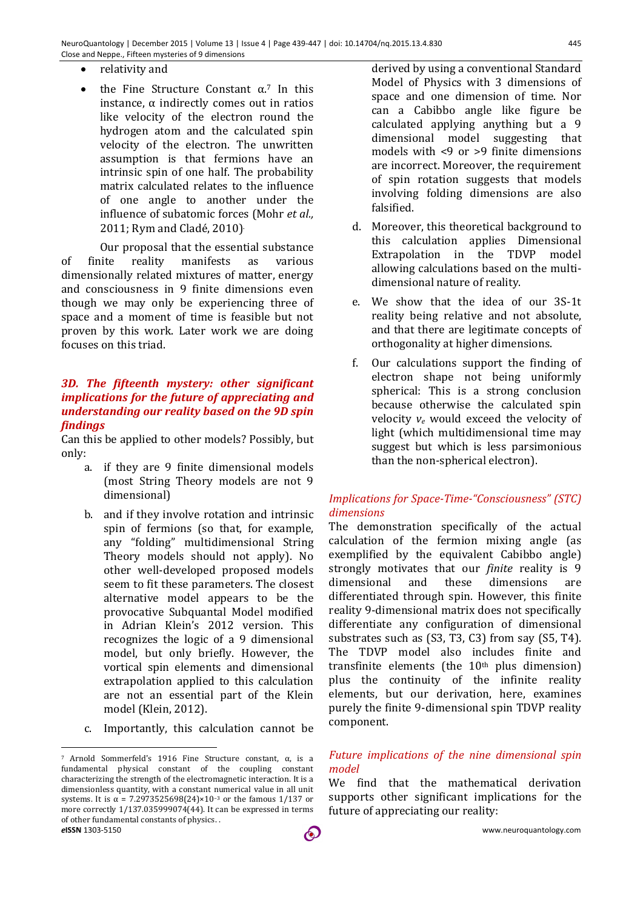- relativity and
- the Fine Structure Constant  $\alpha$ .<sup>7</sup> In this instance, α indirectly comes out in ratios like velocity of the electron round the hydrogen atom and the calculated spin velocity of the electron. The unwritten assumption is that fermions have an intrinsic spin of one half. The probability matrix calculated relates to the influence of one angle to another under the influence of subatomic forces (Mohr *et al.,* 2011; Rym and Cladé, 2010).

Our proposal that the essential substance of finite reality manifests as various dimensionally related mixtures of matter, energy and consciousness in 9 finite dimensions even though we may only be experiencing three of space and a moment of time is feasible but not proven by this work. Later work we are doing focuses on this triad.

### *3D. The fifteenth mystery: other significant implications for the future of appreciating and understanding our reality based on the 9D spin findings*

Can this be applied to other models? Possibly, but only:

- a. if they are 9 finite dimensional models (most String Theory models are not 9 dimensional)
- b. and if they involve rotation and intrinsic spin of fermions (so that, for example, any "folding" multidimensional String Theory models should not apply). No other well-developed proposed models seem to fit these parameters. The closest alternative model appears to be the provocative Subquantal Model modified in Adrian Klein's 2012 version. This recognizes the logic of a 9 dimensional model, but only briefly. However, the vortical spin elements and dimensional extrapolation applied to this calculation are not an essential part of the Klein model (Klein, 2012).
- c. Importantly, this calculation cannot be

derived by using a conventional Standard Model of Physics with 3 dimensions of space and one dimension of time. Nor can a Cabibbo angle like figure be calculated applying anything but a 9 dimensional model suggesting that models with <9 or >9 finite dimensions are incorrect. Moreover, the requirement of spin rotation suggests that models involving folding dimensions are also falsified.

- d. Moreover, this theoretical background to this calculation applies Dimensional Extrapolation in the TDVP model allowing calculations based on the multidimensional nature of reality.
- e. We show that the idea of our 3S-1t reality being relative and not absolute, and that there are legitimate concepts of orthogonality at higher dimensions.
- f. Our calculations support the finding of electron shape not being uniformly spherical: This is a strong conclusion because otherwise the calculated spin velocity *ve* would exceed the velocity of light (which multidimensional time may suggest but which is less parsimonious than the non-spherical electron).

## *Implications for Space-Time-"Consciousness" (STC) dimensions*

The demonstration specifically of the actual calculation of the fermion mixing angle (as exemplified by the equivalent Cabibbo angle) strongly motivates that our *finite* reality is 9 dimensional and these dimensions are differentiated through spin. However, this finite reality 9-dimensional matrix does not specifically differentiate any configuration of dimensional substrates such as (S3, T3, C3) from say (S5, T4). The TDVP model also includes finite and transfinite elements (the 10<sup>th</sup> plus dimension) plus the continuity of the infinite reality elements, but our derivation, here, examines purely the finite 9-dimensional spin TDVP reality component.

### *Future implications of the nine dimensional spin model*

We find that the mathematical derivation supports other significant implications for the future of appreciating our reality:

*e***ISSN** 1303-5150 www.neuroquantology.com  $\overline{a}$ <sup>7</sup> Arnold Sommerfeld's 1916 Fine Structure constant, α, is a fundamental physical constant of the coupling constant characterizing the strength of the electromagnetic interaction. It is a dimensionless quantity, with a constant numerical value in all unit systems. It is  $\alpha$  = 7.2973525698(24)×10<sup>-3</sup> or the famous 1/137 or more correctly 1/137.035999074(44). It can be expressed in terms of other fundamental constants of physics. .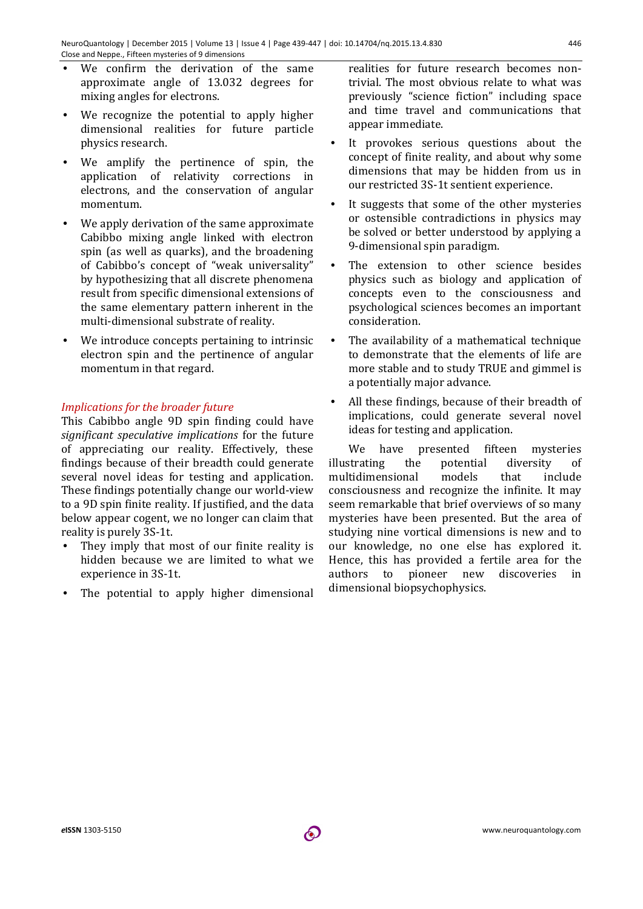- We confirm the derivation of the same approximate angle of 13.032 degrees for mixing angles for electrons.
- We recognize the potential to apply higher dimensional realities for future particle physics research.
- We amplify the pertinence of spin, the application of relativity corrections in electrons, and the conservation of angular momentum.
- We apply derivation of the same approximate Cabibbo mixing angle linked with electron spin (as well as quarks), and the broadening of Cabibbo's concept of "weak universality" by hypothesizing that all discrete phenomena result from specific dimensional extensions of the same elementary pattern inherent in the multi-dimensional substrate of reality.
- We introduce concepts pertaining to intrinsic electron spin and the pertinence of angular momentum in that regard.

## *Implications for the broader future*

This Cabibbo angle 9D spin finding could have *significant speculative implications* for the future of appreciating our reality. Effectively, these findings because of their breadth could generate several novel ideas for testing and application. These findings potentially change our world-view to a 9D spin finite reality. If justified, and the data below appear cogent, we no longer can claim that reality is purely 3S-1t.

- They imply that most of our finite reality is hidden because we are limited to what we experience in 3S-1t.
- The potential to apply higher dimensional

realities for future research becomes nontrivial. The most obvious relate to what was previously "science fiction" including space and time travel and communications that appear immediate.

- It provokes serious questions about the concept of finite reality, and about why some dimensions that may be hidden from us in our restricted 3S-1t sentient experience.
- It suggests that some of the other mysteries or ostensible contradictions in physics may be solved or better understood by applying a 9-dimensional spin paradigm.
- The extension to other science besides physics such as biology and application of concepts even to the consciousness and psychological sciences becomes an important consideration.
- The availability of a mathematical technique to demonstrate that the elements of life are more stable and to study TRUE and gimmel is a potentially major advance.
- All these findings, because of their breadth of implications, could generate several novel ideas for testing and application.

We have presented fifteen mysteries illustrating the potential diversity of multidimensional models that include consciousness and recognize the infinite. It may seem remarkable that brief overviews of so many mysteries have been presented. But the area of studying nine vortical dimensions is new and to our knowledge, no one else has explored it. Hence, this has provided a fertile area for the authors to pioneer new discoveries in dimensional biopsychophysics.